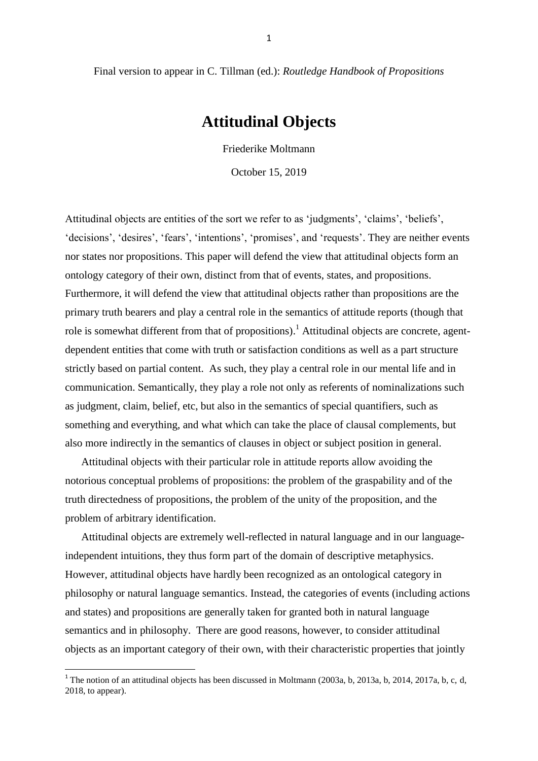Final version to appear in C. Tillman (ed.): *Routledge Handbook of Propositions*

# **Attitudinal Objects**

Friederike Moltmann

October 15, 2019

Attitudinal objects are entities of the sort we refer to as 'judgments', 'claims', 'beliefs', 'decisions', 'desires', 'fears', 'intentions', 'promises', and 'requests'. They are neither events nor states nor propositions. This paper will defend the view that attitudinal objects form an ontology category of their own, distinct from that of events, states, and propositions. Furthermore, it will defend the view that attitudinal objects rather than propositions are the primary truth bearers and play a central role in the semantics of attitude reports (though that role is somewhat different from that of propositions).<sup>1</sup> Attitudinal objects are concrete, agentdependent entities that come with truth or satisfaction conditions as well as a part structure strictly based on partial content. As such, they play a central role in our mental life and in communication. Semantically, they play a role not only as referents of nominalizations such as judgment, claim, belief, etc, but also in the semantics of special quantifiers, such as something and everything, and what which can take the place of clausal complements, but also more indirectly in the semantics of clauses in object or subject position in general.

 Attitudinal objects with their particular role in attitude reports allow avoiding the notorious conceptual problems of propositions: the problem of the graspability and of the truth directedness of propositions, the problem of the unity of the proposition, and the problem of arbitrary identification.

 Attitudinal objects are extremely well-reflected in natural language and in our languageindependent intuitions, they thus form part of the domain of descriptive metaphysics. However, attitudinal objects have hardly been recognized as an ontological category in philosophy or natural language semantics. Instead, the categories of events (including actions and states) and propositions are generally taken for granted both in natural language semantics and in philosophy. There are good reasons, however, to consider attitudinal objects as an important category of their own, with their characteristic properties that jointly

**.** 

<sup>&</sup>lt;sup>1</sup> The notion of an attitudinal objects has been discussed in Moltmann (2003a, b, 2013a, b, 2014, 2017a, b, c, d, 2018, to appear).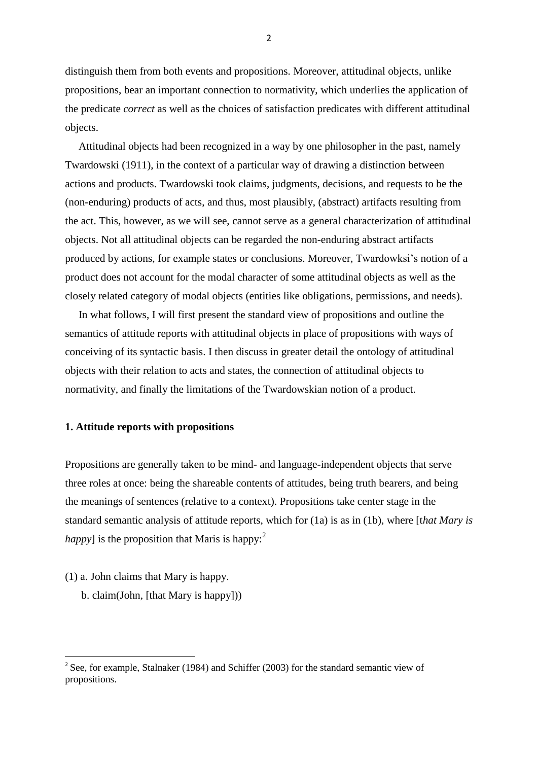distinguish them from both events and propositions. Moreover, attitudinal objects, unlike propositions, bear an important connection to normativity, which underlies the application of the predicate *correct* as well as the choices of satisfaction predicates with different attitudinal objects.

 Attitudinal objects had been recognized in a way by one philosopher in the past, namely Twardowski (1911), in the context of a particular way of drawing a distinction between actions and products. Twardowski took claims, judgments, decisions, and requests to be the (non-enduring) products of acts, and thus, most plausibly, (abstract) artifacts resulting from the act. This, however, as we will see, cannot serve as a general characterization of attitudinal objects. Not all attitudinal objects can be regarded the non-enduring abstract artifacts produced by actions, for example states or conclusions. Moreover, Twardowksi's notion of a product does not account for the modal character of some attitudinal objects as well as the closely related category of modal objects (entities like obligations, permissions, and needs).

 In what follows, I will first present the standard view of propositions and outline the semantics of attitude reports with attitudinal objects in place of propositions with ways of conceiving of its syntactic basis. I then discuss in greater detail the ontology of attitudinal objects with their relation to acts and states, the connection of attitudinal objects to normativity, and finally the limitations of the Twardowskian notion of a product.

## **1. Attitude reports with propositions**

Propositions are generally taken to be mind- and language-independent objects that serve three roles at once: being the shareable contents of attitudes, being truth bearers, and being the meanings of sentences (relative to a context). Propositions take center stage in the standard semantic analysis of attitude reports, which for (1a) is as in (1b), where [t*hat Mary is happy*] is the proposition that Maris is happy:<sup>2</sup>

(1) a. John claims that Mary is happy.

 $\overline{a}$ 

b. claim(John, [that Mary is happy]))

<sup>&</sup>lt;sup>2</sup> See, for example, Stalnaker (1984) and Schiffer (2003) for the standard semantic view of propositions.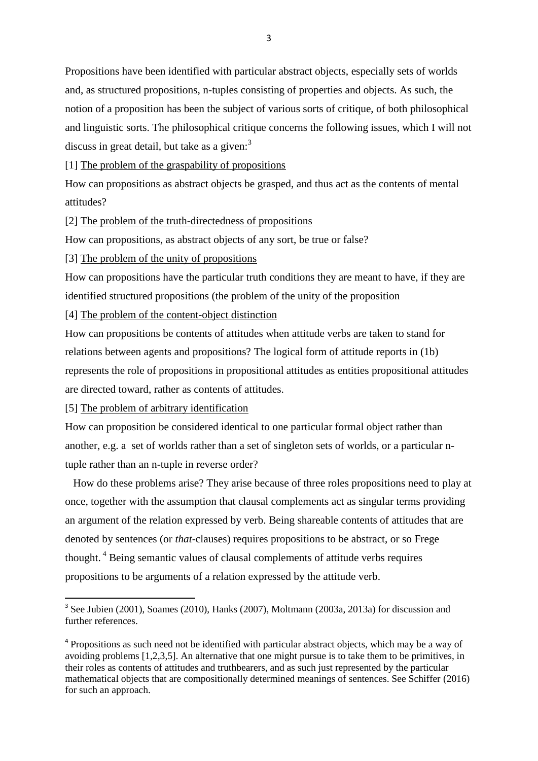Propositions have been identified with particular abstract objects, especially sets of worlds and, as structured propositions, n-tuples consisting of properties and objects. As such, the notion of a proposition has been the subject of various sorts of critique, of both philosophical and linguistic sorts. The philosophical critique concerns the following issues, which I will not discuss in great detail, but take as a given:<sup>3</sup>

[1] The problem of the graspability of propositions

How can propositions as abstract objects be grasped, and thus act as the contents of mental attitudes?

[2] The problem of the truth-directedness of propositions

How can propositions, as abstract objects of any sort, be true or false?

[3] The problem of the unity of propositions

How can propositions have the particular truth conditions they are meant to have, if they are identified structured propositions (the problem of the unity of the proposition

[4] The problem of the content-object distinction

How can propositions be contents of attitudes when attitude verbs are taken to stand for relations between agents and propositions? The logical form of attitude reports in (1b) represents the role of propositions in propositional attitudes as entities propositional attitudes are directed toward, rather as contents of attitudes.

[5] The problem of arbitrary identification

How can proposition be considered identical to one particular formal object rather than another, e.g. a set of worlds rather than a set of singleton sets of worlds, or a particular ntuple rather than an n-tuple in reverse order?

 How do these problems arise? They arise because of three roles propositions need to play at once, together with the assumption that clausal complements act as singular terms providing an argument of the relation expressed by verb. Being shareable contents of attitudes that are denoted by sentences (or *that*-clauses) requires propositions to be abstract, or so Frege thought. <sup>4</sup> Being semantic values of clausal complements of attitude verbs requires propositions to be arguments of a relation expressed by the attitude verb.

<sup>&</sup>lt;sup>3</sup> See Jubien (2001), Soames (2010), Hanks (2007), Moltmann (2003a, 2013a) for discussion and further references.

<sup>&</sup>lt;sup>4</sup> Propositions as such need not be identified with particular abstract objects, which may be a way of avoiding problems [1,2,3,5]. An alternative that one might pursue is to take them to be primitives, in their roles as contents of attitudes and truthbearers, and as such just represented by the particular mathematical objects that are compositionally determined meanings of sentences. See Schiffer (2016) for such an approach.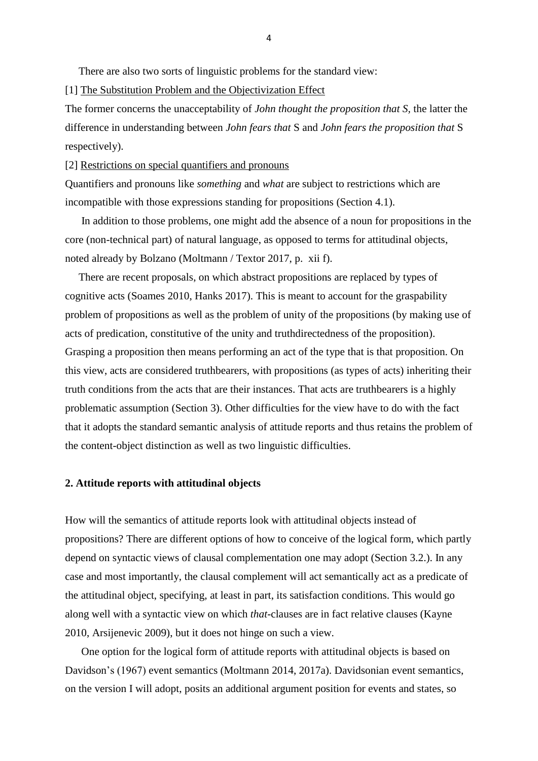There are also two sorts of linguistic problems for the standard view:

[1] The Substitution Problem and the Objectivization Effect

The former concerns the unacceptability of *John thought the proposition that S,* the latter the difference in understanding between *John fears that* S and *John fears the proposition that* S respectively).

[2] Restrictions on special quantifiers and pronouns

Quantifiers and pronouns like *something* and *what* are subject to restrictions which are incompatible with those expressions standing for propositions (Section 4.1).

 In addition to those problems, one might add the absence of a noun for propositions in the core (non-technical part) of natural language, as opposed to terms for attitudinal objects, noted already by Bolzano (Moltmann / Textor 2017, p. xii f).

 There are recent proposals, on which abstract propositions are replaced by types of cognitive acts (Soames 2010, Hanks 2017). This is meant to account for the graspability problem of propositions as well as the problem of unity of the propositions (by making use of acts of predication, constitutive of the unity and truthdirectedness of the proposition). Grasping a proposition then means performing an act of the type that is that proposition. On this view, acts are considered truthbearers, with propositions (as types of acts) inheriting their truth conditions from the acts that are their instances. That acts are truthbearers is a highly problematic assumption (Section 3). Other difficulties for the view have to do with the fact that it adopts the standard semantic analysis of attitude reports and thus retains the problem of the content-object distinction as well as two linguistic difficulties.

## **2. Attitude reports with attitudinal objects**

How will the semantics of attitude reports look with attitudinal objects instead of propositions? There are different options of how to conceive of the logical form, which partly depend on syntactic views of clausal complementation one may adopt (Section 3.2.). In any case and most importantly, the clausal complement will act semantically act as a predicate of the attitudinal object, specifying, at least in part, its satisfaction conditions. This would go along well with a syntactic view on which *that*-clauses are in fact relative clauses (Kayne 2010, Arsijenevic 2009), but it does not hinge on such a view.

 One option for the logical form of attitude reports with attitudinal objects is based on Davidson's (1967) event semantics (Moltmann 2014, 2017a). Davidsonian event semantics, on the version I will adopt, posits an additional argument position for events and states, so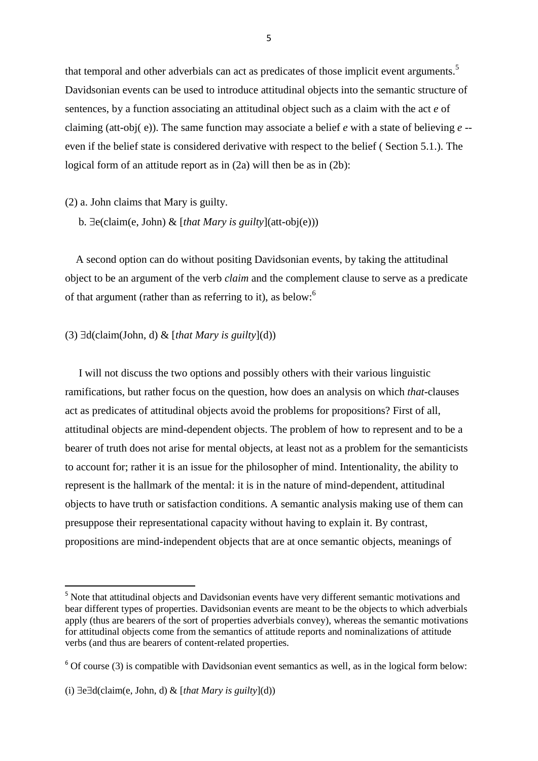that temporal and other adverbials can act as predicates of those implicit event arguments.<sup>5</sup> Davidsonian events can be used to introduce attitudinal objects into the semantic structure of sentences, by a function associating an attitudinal object such as a claim with the act *e* of claiming (att-obj( e)). The same function may associate a belief *e* with a state of believing *e* - even if the belief state is considered derivative with respect to the belief ( Section 5.1.). The logical form of an attitude report as in  $(2a)$  will then be as in  $(2b)$ :

(2) a. John claims that Mary is guilty.

b.  $\exists$ e(claim(e, John) & [that Mary is guilty](att-obj(e)))

 A second option can do without positing Davidsonian events, by taking the attitudinal object to be an argument of the verb *claim* and the complement clause to serve as a predicate of that argument (rather than as referring to it), as below:<sup>6</sup>

## (3)  $\exists d$ (claim(John, d) & [*that Mary is guilty*](d))

 I will not discuss the two options and possibly others with their various linguistic ramifications, but rather focus on the question, how does an analysis on which *that*-clauses act as predicates of attitudinal objects avoid the problems for propositions? First of all, attitudinal objects are mind-dependent objects. The problem of how to represent and to be a bearer of truth does not arise for mental objects, at least not as a problem for the semanticists to account for; rather it is an issue for the philosopher of mind. Intentionality, the ability to represent is the hallmark of the mental: it is in the nature of mind-dependent, attitudinal objects to have truth or satisfaction conditions. A semantic analysis making use of them can presuppose their representational capacity without having to explain it. By contrast, propositions are mind-independent objects that are at once semantic objects, meanings of

<sup>&</sup>lt;sup>5</sup> Note that attitudinal objects and Davidsonian events have very different semantic motivations and bear different types of properties. Davidsonian events are meant to be the objects to which adverbials apply (thus are bearers of the sort of properties adverbials convey), whereas the semantic motivations for attitudinal objects come from the semantics of attitude reports and nominalizations of attitude verbs (and thus are bearers of content-related properties.

 $6$  Of course (3) is compatible with Davidsonian event semantics as well, as in the logical form below:

<sup>(</sup>i)  $\exists$ e $\exists$ d(claim(e, John, d) & [*that Mary is guilty*](d))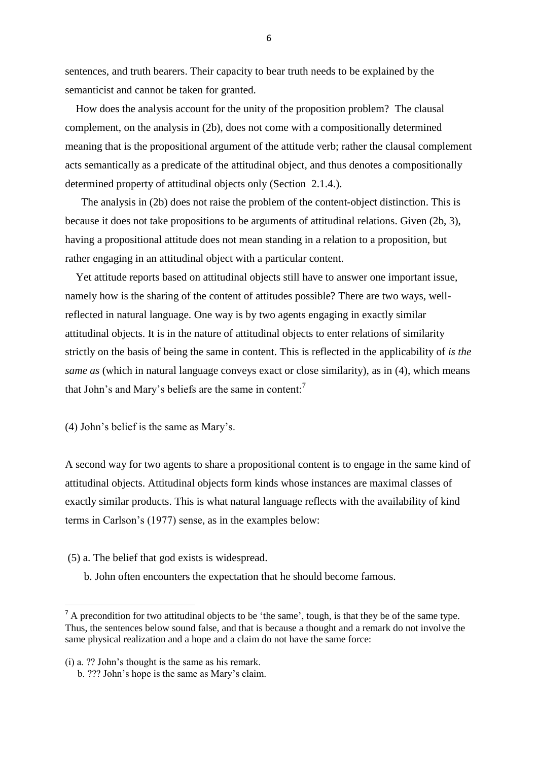sentences, and truth bearers. Their capacity to bear truth needs to be explained by the semanticist and cannot be taken for granted.

 How does the analysis account for the unity of the proposition problem? The clausal complement, on the analysis in (2b), does not come with a compositionally determined meaning that is the propositional argument of the attitude verb; rather the clausal complement acts semantically as a predicate of the attitudinal object, and thus denotes a compositionally determined property of attitudinal objects only (Section 2.1.4.).

 The analysis in (2b) does not raise the problem of the content-object distinction. This is because it does not take propositions to be arguments of attitudinal relations. Given (2b, 3), having a propositional attitude does not mean standing in a relation to a proposition, but rather engaging in an attitudinal object with a particular content.

 Yet attitude reports based on attitudinal objects still have to answer one important issue, namely how is the sharing of the content of attitudes possible? There are two ways, wellreflected in natural language. One way is by two agents engaging in exactly similar attitudinal objects. It is in the nature of attitudinal objects to enter relations of similarity strictly on the basis of being the same in content. This is reflected in the applicability of *is the same as* (which in natural language conveys exact or close similarity), as in (4), which means that John's and Mary's beliefs are the same in content:<sup>7</sup>

(4) John's belief is the same as Mary's.

A second way for two agents to share a propositional content is to engage in the same kind of attitudinal objects. Attitudinal objects form kinds whose instances are maximal classes of exactly similar products. This is what natural language reflects with the availability of kind terms in Carlson's (1977) sense, as in the examples below:

- (5) a. The belief that god exists is widespread.
	- b. John often encounters the expectation that he should become famous.

**.** 

 $<sup>7</sup>$  A precondition for two attitudinal objects to be 'the same', tough, is that they be of the same type.</sup> Thus, the sentences below sound false, and that is because a thought and a remark do not involve the same physical realization and a hope and a claim do not have the same force:

<sup>(</sup>i) a. ?? John's thought is the same as his remark.

b. ??? John's hope is the same as Mary's claim.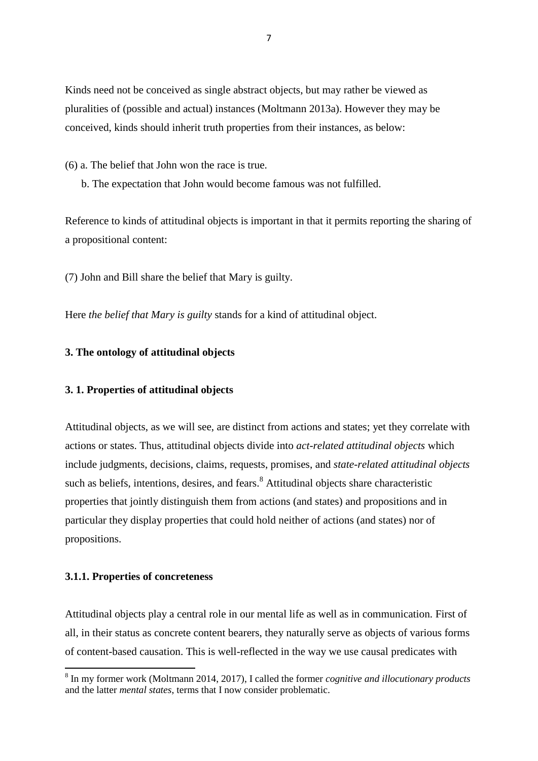Kinds need not be conceived as single abstract objects, but may rather be viewed as pluralities of (possible and actual) instances (Moltmann 2013a). However they may be conceived, kinds should inherit truth properties from their instances, as below:

(6) a. The belief that John won the race is true.

b. The expectation that John would become famous was not fulfilled.

Reference to kinds of attitudinal objects is important in that it permits reporting the sharing of a propositional content:

(7) John and Bill share the belief that Mary is guilty.

Here *the belief that Mary is guilty* stands for a kind of attitudinal object.

# **3. The ontology of attitudinal objects**

## **3. 1. Properties of attitudinal objects**

Attitudinal objects, as we will see, are distinct from actions and states; yet they correlate with actions or states. Thus, attitudinal objects divide into *act-related attitudinal objects* which include judgments, decisions, claims, requests, promises, and *state-related attitudinal objects* such as beliefs, intentions, desires, and fears.<sup>8</sup> Attitudinal objects share characteristic properties that jointly distinguish them from actions (and states) and propositions and in particular they display properties that could hold neither of actions (and states) nor of propositions.

## **3.1.1. Properties of concreteness**

**.** 

Attitudinal objects play a central role in our mental life as well as in communication. First of all, in their status as concrete content bearers, they naturally serve as objects of various forms of content-based causation. This is well-reflected in the way we use causal predicates with

<sup>8</sup> In my former work (Moltmann 2014, 2017), I called the former *cognitive and illocutionary products* and the latter *mental states*, terms that I now consider problematic.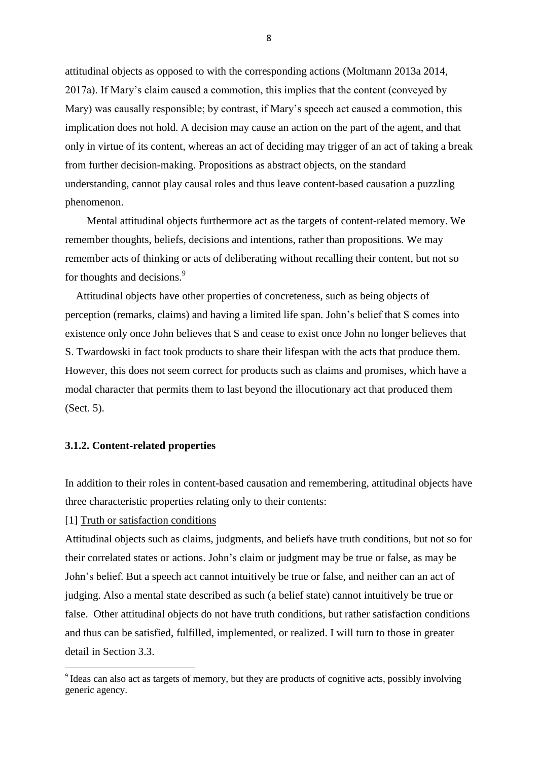attitudinal objects as opposed to with the corresponding actions (Moltmann 2013a 2014, 2017a). If Mary's claim caused a commotion, this implies that the content (conveyed by Mary) was causally responsible; by contrast, if Mary's speech act caused a commotion, this implication does not hold. A decision may cause an action on the part of the agent, and that only in virtue of its content, whereas an act of deciding may trigger of an act of taking a break from further decision-making. Propositions as abstract objects, on the standard understanding, cannot play causal roles and thus leave content-based causation a puzzling phenomenon.

 Mental attitudinal objects furthermore act as the targets of content-related memory. We remember thoughts, beliefs, decisions and intentions, rather than propositions. We may remember acts of thinking or acts of deliberating without recalling their content, but not so for thoughts and decisions.<sup>9</sup>

 Attitudinal objects have other properties of concreteness, such as being objects of perception (remarks, claims) and having a limited life span. John's belief that S comes into existence only once John believes that S and cease to exist once John no longer believes that S. Twardowski in fact took products to share their lifespan with the acts that produce them. However, this does not seem correct for products such as claims and promises, which have a modal character that permits them to last beyond the illocutionary act that produced them (Sect. 5).

#### **3.1.2. Content-related properties**

In addition to their roles in content-based causation and remembering, attitudinal objects have three characteristic properties relating only to their contents:

# [1] Truth or satisfaction conditions

1

Attitudinal objects such as claims, judgments, and beliefs have truth conditions, but not so for their correlated states or actions. John's claim or judgment may be true or false, as may be John's belief. But a speech act cannot intuitively be true or false, and neither can an act of judging. Also a mental state described as such (a belief state) cannot intuitively be true or false. Other attitudinal objects do not have truth conditions, but rather satisfaction conditions and thus can be satisfied, fulfilled, implemented, or realized. I will turn to those in greater detail in Section 3.3.

<sup>&</sup>lt;sup>9</sup> Ideas can also act as targets of memory, but they are products of cognitive acts, possibly involving generic agency.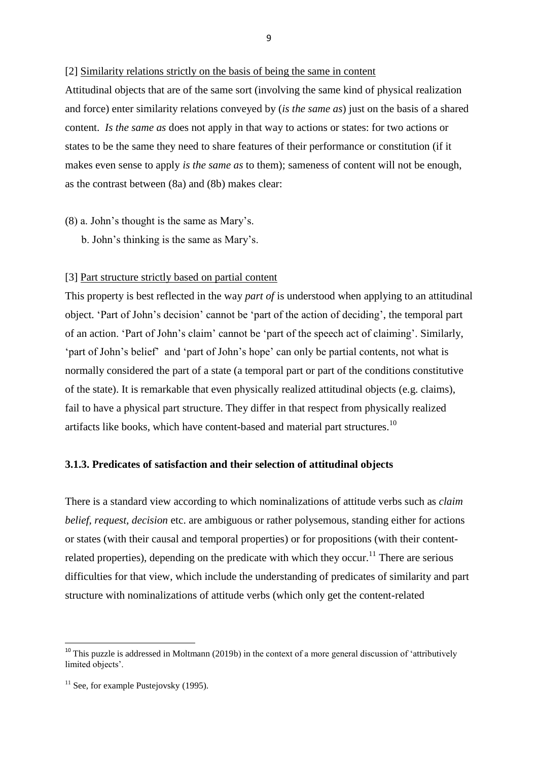#### [2] Similarity relations strictly on the basis of being the same in content

Attitudinal objects that are of the same sort (involving the same kind of physical realization and force) enter similarity relations conveyed by (*is the same as*) just on the basis of a shared content. *Is the same as* does not apply in that way to actions or states: for two actions or states to be the same they need to share features of their performance or constitution (if it makes even sense to apply *is the same as* to them); sameness of content will not be enough, as the contrast between (8a) and (8b) makes clear:

- (8) a. John's thought is the same as Mary's.
	- b. John's thinking is the same as Mary's.

#### [3] Part structure strictly based on partial content

This property is best reflected in the way *part of* is understood when applying to an attitudinal object. 'Part of John's decision' cannot be 'part of the action of deciding', the temporal part of an action. 'Part of John's claim' cannot be 'part of the speech act of claiming'. Similarly, 'part of John's belief' and 'part of John's hope' can only be partial contents, not what is normally considered the part of a state (a temporal part or part of the conditions constitutive of the state). It is remarkable that even physically realized attitudinal objects (e.g. claims), fail to have a physical part structure. They differ in that respect from physically realized artifacts like books, which have content-based and material part structures.<sup>10</sup>

## **3.1.3. Predicates of satisfaction and their selection of attitudinal objects**

There is a standard view according to which nominalizations of attitude verbs such as *claim belief, request, decision* etc. are ambiguous or rather polysemous, standing either for actions or states (with their causal and temporal properties) or for propositions (with their contentrelated properties), depending on the predicate with which they occur.<sup>11</sup> There are serious difficulties for that view, which include the understanding of predicates of similarity and part structure with nominalizations of attitude verbs (which only get the content-related

 $\overline{a}$ 

 $10$  This puzzle is addressed in Moltmann (2019b) in the context of a more general discussion of 'attributively limited objects'.

 $11$  See, for example Pustejovsky (1995).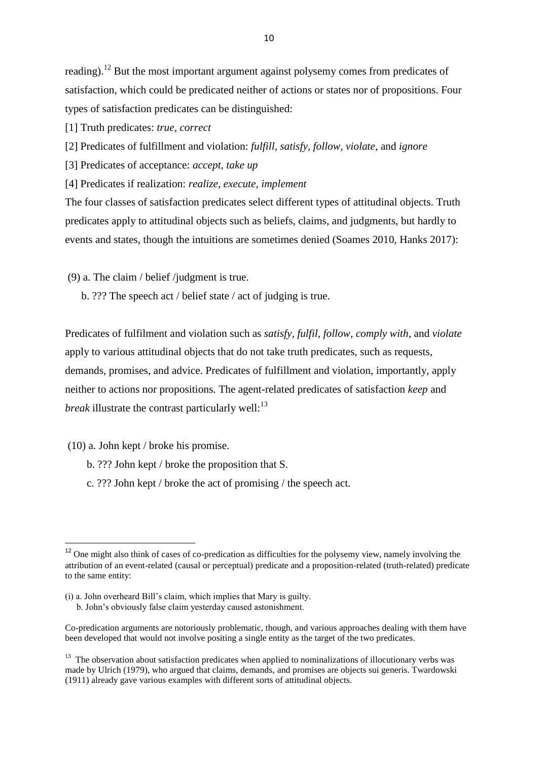reading).<sup>12</sup> But the most important argument against polysemy comes from predicates of satisfaction, which could be predicated neither of actions or states nor of propositions. Four types of satisfaction predicates can be distinguished:

[1] Truth predicates: *true, correct*

[2] Predicates of fulfillment and violation: *fulfill, satisfy, follow, violate*, and *ignore*

[3] Predicates of acceptance: *accept, take up*

[4] Predicates if realization: *realize, execute, implement*

The four classes of satisfaction predicates select different types of attitudinal objects. Truth predicates apply to attitudinal objects such as beliefs, claims, and judgments, but hardly to events and states, though the intuitions are sometimes denied (Soames 2010, Hanks 2017):

(9) a. The claim / belief /judgment is true.

b. ??? The speech act / belief state / act of judging is true.

Predicates of fulfilment and violation such as *satisfy, fulfil, follow, comply with*, and *violate* apply to various attitudinal objects that do not take truth predicates, such as requests, demands, promises, and advice. Predicates of fulfillment and violation, importantly, apply neither to actions nor propositions. The agent-related predicates of satisfaction *keep* and *break* illustrate the contrast particularly well: $^{13}$ 

(10) a. John kept / broke his promise.

**.** 

- b. ??? John kept / broke the proposition that S.
- c. ??? John kept / broke the act of promising / the speech act.

<sup>&</sup>lt;sup>12</sup> One might also think of cases of co-predication as difficulties for the polysemy view, namely involving the attribution of an event-related (causal or perceptual) predicate and a proposition-related (truth-related) predicate to the same entity:

<sup>(</sup>i) a. John overheard Bill's claim, which implies that Mary is guilty.

b. John's obviously false claim yesterday caused astonishment.

Co-predication arguments are notoriously problematic, though, and various approaches dealing with them have been developed that would not involve positing a single entity as the target of the two predicates.

<sup>&</sup>lt;sup>13</sup> The observation about satisfaction predicates when applied to nominalizations of illocutionary verbs was made by Ulrich (1979), who argued that claims, demands, and promises are objects sui generis. Twardowski (1911) already gave various examples with different sorts of attitudinal objects.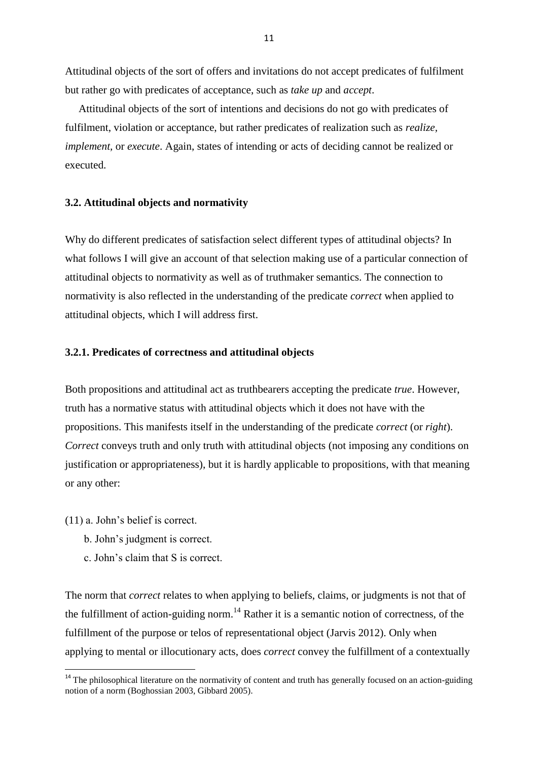Attitudinal objects of the sort of offers and invitations do not accept predicates of fulfilment but rather go with predicates of acceptance, such as *take up* and *accept*.

 Attitudinal objects of the sort of intentions and decisions do not go with predicates of fulfilment, violation or acceptance, but rather predicates of realization such as *realize, implement,* or *execute*. Again, states of intending or acts of deciding cannot be realized or executed.

## **3.2. Attitudinal objects and normativity**

Why do different predicates of satisfaction select different types of attitudinal objects? In what follows I will give an account of that selection making use of a particular connection of attitudinal objects to normativity as well as of truthmaker semantics. The connection to normativity is also reflected in the understanding of the predicate *correct* when applied to attitudinal objects, which I will address first.

## **3.2.1. Predicates of correctness and attitudinal objects**

Both propositions and attitudinal act as truthbearers accepting the predicate *true*. However, truth has a normative status with attitudinal objects which it does not have with the propositions. This manifests itself in the understanding of the predicate *correct* (or *right*). *Correct* conveys truth and only truth with attitudinal objects (not imposing any conditions on justification or appropriateness), but it is hardly applicable to propositions, with that meaning or any other:

(11) a. John's belief is correct.

**.** 

- b. John's judgment is correct.
- c. John's claim that S is correct.

The norm that *correct* relates to when applying to beliefs, claims, or judgments is not that of the fulfillment of action-guiding norm.<sup>14</sup> Rather it is a semantic notion of correctness, of the fulfillment of the purpose or telos of representational object (Jarvis 2012). Only when applying to mental or illocutionary acts, does *correct* convey the fulfillment of a contextually

<sup>&</sup>lt;sup>14</sup> The philosophical literature on the normativity of content and truth has generally focused on an action-guiding notion of a norm (Boghossian 2003, Gibbard 2005).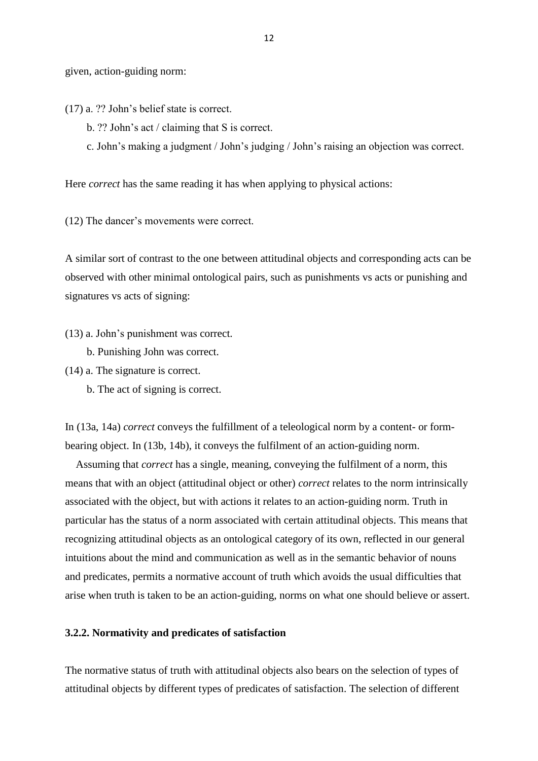given, action-guiding norm:

(17) a. ?? John's belief state is correct.

- b. ?? John's act / claiming that S is correct.
- c. John's making a judgment / John's judging / John's raising an objection was correct.

Here *correct* has the same reading it has when applying to physical actions:

(12) The dancer's movements were correct.

A similar sort of contrast to the one between attitudinal objects and corresponding acts can be observed with other minimal ontological pairs, such as punishments vs acts or punishing and signatures vs acts of signing:

(13) a. John's punishment was correct.

b. Punishing John was correct.

- (14) a. The signature is correct.
	- b. The act of signing is correct.

In (13a, 14a) *correct* conveys the fulfillment of a teleological norm by a content- or formbearing object. In (13b, 14b), it conveys the fulfilment of an action-guiding norm.

 Assuming that *correct* has a single, meaning, conveying the fulfilment of a norm, this means that with an object (attitudinal object or other) *correct* relates to the norm intrinsically associated with the object, but with actions it relates to an action-guiding norm. Truth in particular has the status of a norm associated with certain attitudinal objects. This means that recognizing attitudinal objects as an ontological category of its own, reflected in our general intuitions about the mind and communication as well as in the semantic behavior of nouns and predicates, permits a normative account of truth which avoids the usual difficulties that arise when truth is taken to be an action-guiding, norms on what one should believe or assert.

#### **3.2.2. Normativity and predicates of satisfaction**

The normative status of truth with attitudinal objects also bears on the selection of types of attitudinal objects by different types of predicates of satisfaction. The selection of different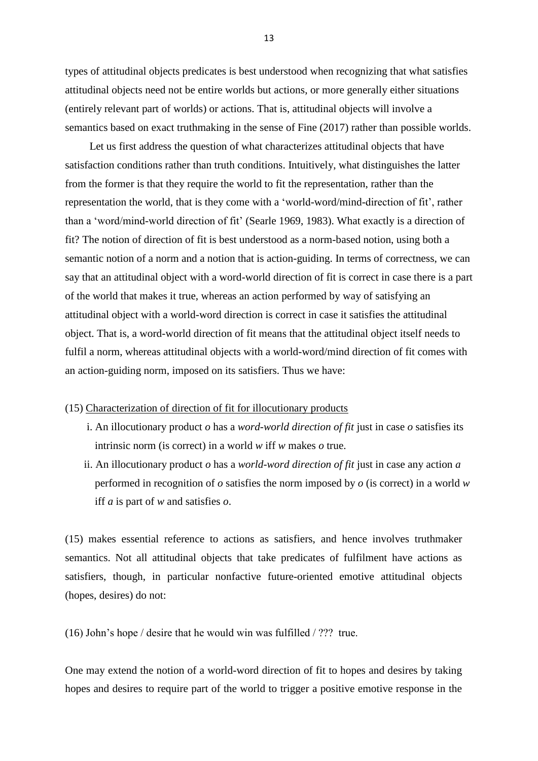types of attitudinal objects predicates is best understood when recognizing that what satisfies attitudinal objects need not be entire worlds but actions, or more generally either situations (entirely relevant part of worlds) or actions. That is, attitudinal objects will involve a semantics based on exact truthmaking in the sense of Fine (2017) rather than possible worlds.

 Let us first address the question of what characterizes attitudinal objects that have satisfaction conditions rather than truth conditions. Intuitively, what distinguishes the latter from the former is that they require the world to fit the representation, rather than the representation the world, that is they come with a 'world-word/mind-direction of fit', rather than a 'word/mind-world direction of fit' (Searle 1969, 1983). What exactly is a direction of fit? The notion of direction of fit is best understood as a norm-based notion, using both a semantic notion of a norm and a notion that is action-guiding. In terms of correctness, we can say that an attitudinal object with a word-world direction of fit is correct in case there is a part of the world that makes it true, whereas an action performed by way of satisfying an attitudinal object with a world-word direction is correct in case it satisfies the attitudinal object. That is, a word-world direction of fit means that the attitudinal object itself needs to fulfil a norm, whereas attitudinal objects with a world-word/mind direction of fit comes with an action-guiding norm, imposed on its satisfiers. Thus we have:

#### (15) Characterization of direction of fit for illocutionary products

- i. An illocutionary product *o* has a *word-world direction of fit* just in case *o* satisfies its intrinsic norm (is correct) in a world *w* iff *w* makes *o* true.
- ii. An illocutionary product *o* has a *world-word direction of fit* just in case any action *a*  performed in recognition of *o* satisfies the norm imposed by *o* (is correct) in a world *w* iff *a* is part of *w* and satisfies *o*.

(15) makes essential reference to actions as satisfiers, and hence involves truthmaker semantics. Not all attitudinal objects that take predicates of fulfilment have actions as satisfiers, though, in particular nonfactive future-oriented emotive attitudinal objects (hopes, desires) do not:

(16) John's hope / desire that he would win was fulfilled / ??? true.

One may extend the notion of a world-word direction of fit to hopes and desires by taking hopes and desires to require part of the world to trigger a positive emotive response in the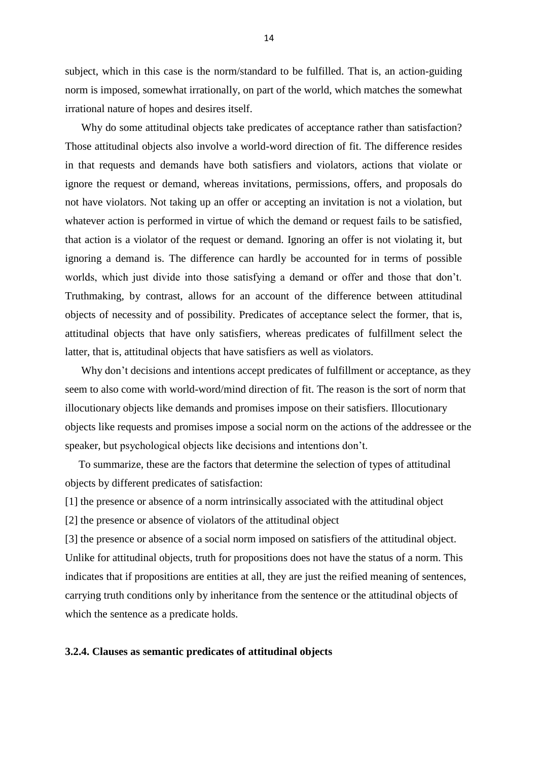subject, which in this case is the norm/standard to be fulfilled. That is, an action-guiding norm is imposed, somewhat irrationally, on part of the world, which matches the somewhat irrational nature of hopes and desires itself.

 Why do some attitudinal objects take predicates of acceptance rather than satisfaction? Those attitudinal objects also involve a world-word direction of fit. The difference resides in that requests and demands have both satisfiers and violators, actions that violate or ignore the request or demand, whereas invitations, permissions, offers, and proposals do not have violators. Not taking up an offer or accepting an invitation is not a violation, but whatever action is performed in virtue of which the demand or request fails to be satisfied, that action is a violator of the request or demand. Ignoring an offer is not violating it, but ignoring a demand is. The difference can hardly be accounted for in terms of possible worlds, which just divide into those satisfying a demand or offer and those that don't. Truthmaking, by contrast, allows for an account of the difference between attitudinal objects of necessity and of possibility. Predicates of acceptance select the former, that is, attitudinal objects that have only satisfiers, whereas predicates of fulfillment select the latter, that is, attitudinal objects that have satisfiers as well as violators.

 Why don't decisions and intentions accept predicates of fulfillment or acceptance, as they seem to also come with world-word/mind direction of fit. The reason is the sort of norm that illocutionary objects like demands and promises impose on their satisfiers. Illocutionary objects like requests and promises impose a social norm on the actions of the addressee or the speaker, but psychological objects like decisions and intentions don't.

 To summarize, these are the factors that determine the selection of types of attitudinal objects by different predicates of satisfaction:

[1] the presence or absence of a norm intrinsically associated with the attitudinal object

[2] the presence or absence of violators of the attitudinal object

[3] the presence or absence of a social norm imposed on satisfiers of the attitudinal object. Unlike for attitudinal objects, truth for propositions does not have the status of a norm. This indicates that if propositions are entities at all, they are just the reified meaning of sentences, carrying truth conditions only by inheritance from the sentence or the attitudinal objects of which the sentence as a predicate holds.

# **3.2.4. Clauses as semantic predicates of attitudinal objects**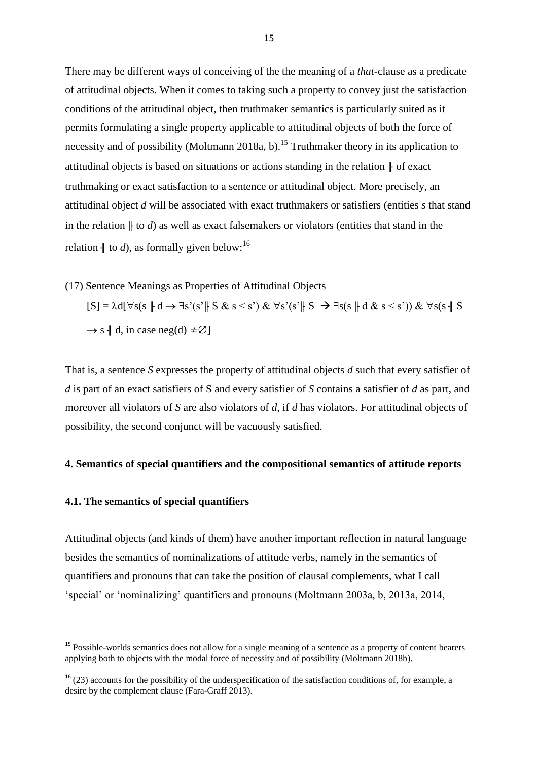There may be different ways of conceiving of the the meaning of a *that*-clause as a predicate of attitudinal objects. When it comes to taking such a property to convey just the satisfaction conditions of the attitudinal object, then truthmaker semantics is particularly suited as it permits formulating a single property applicable to attitudinal objects of both the force of necessity and of possibility (Moltmann 2018a, b).<sup>15</sup> Truthmaker theory in its application to attitudinal objects is based on situations or actions standing in the relation  $\parallel$  of exact truthmaking or exact satisfaction to a sentence or attitudinal object. More precisely, an attitudinal object *d* will be associated with exact truthmakers or satisfiers (entities *s* that stand in the relation  $\parallel$  to *d*) as well as exact falsemakers or violators (entities that stand in the relation  $\parallel$  to *d*), as formally given below:<sup>16</sup>

#### (17) Sentence Meanings as Properties of Attitudinal Objects

 $[S] = \lambda d[\forall s(s \parallel d \rightarrow \exists s'(s' \parallel S \& s \leq s')] \& \forall s'(s' \parallel S \rightarrow \exists s(s \parallel d \& s \leq s')) \& \forall s(s \parallel S$  $\rightarrow$  s  $\parallel$  d, in case neg(d)  $\neq \emptyset$ ]

That is, a sentence *S* expresses the property of attitudinal objects *d* such that every satisfier of *d* is part of an exact satisfiers of S and every satisfier of *S* contains a satisfier of *d* as part, and moreover all violators of *S* are also violators of *d*, if *d* has violators. For attitudinal objects of possibility, the second conjunct will be vacuously satisfied.

# **4. Semantics of special quantifiers and the compositional semantics of attitude reports**

# **4.1. The semantics of special quantifiers**

1

Attitudinal objects (and kinds of them) have another important reflection in natural language besides the semantics of nominalizations of attitude verbs, namely in the semantics of quantifiers and pronouns that can take the position of clausal complements, what I call 'special' or 'nominalizing' quantifiers and pronouns (Moltmann 2003a, b, 2013a, 2014,

<sup>&</sup>lt;sup>15</sup> Possible-worlds semantics does not allow for a single meaning of a sentence as a property of content bearers applying both to objects with the modal force of necessity and of possibility (Moltmann 2018b).

 $16$  (23) accounts for the possibility of the underspecification of the satisfaction conditions of, for example, a desire by the complement clause (Fara-Graff 2013).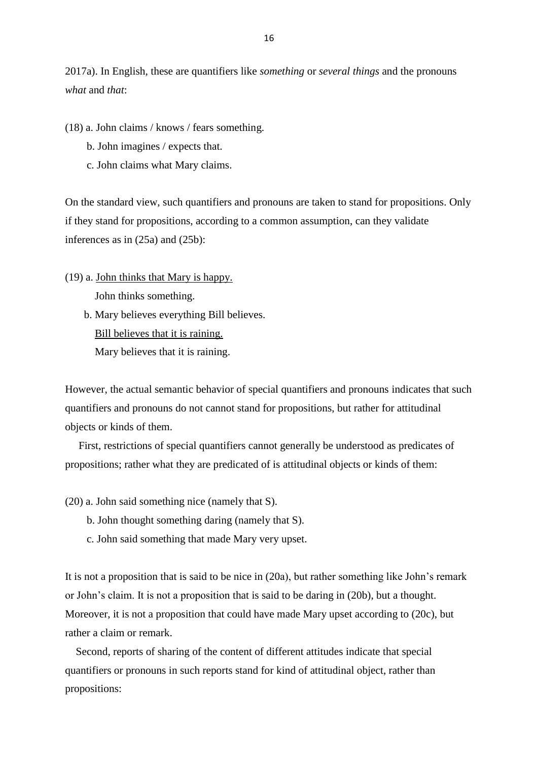2017a). In English, these are quantifiers like *something* or *several things* and the pronouns *what* and *that*:

(18) a. John claims / knows / fears something.

- b. John imagines / expects that.
- c. John claims what Mary claims.

On the standard view, such quantifiers and pronouns are taken to stand for propositions. Only if they stand for propositions, according to a common assumption, can they validate inferences as in (25a) and (25b):

- (19) a. John thinks that Mary is happy. John thinks something.
	- b. Mary believes everything Bill believes. Bill believes that it is raining. Mary believes that it is raining.

However, the actual semantic behavior of special quantifiers and pronouns indicates that such quantifiers and pronouns do not cannot stand for propositions, but rather for attitudinal objects or kinds of them.

 First, restrictions of special quantifiers cannot generally be understood as predicates of propositions; rather what they are predicated of is attitudinal objects or kinds of them:

(20) a. John said something nice (namely that S).

- b. John thought something daring (namely that S).
- c. John said something that made Mary very upset.

It is not a proposition that is said to be nice in (20a), but rather something like John's remark or John's claim. It is not a proposition that is said to be daring in (20b), but a thought. Moreover, it is not a proposition that could have made Mary upset according to (20c), but rather a claim or remark.

 Second, reports of sharing of the content of different attitudes indicate that special quantifiers or pronouns in such reports stand for kind of attitudinal object, rather than propositions: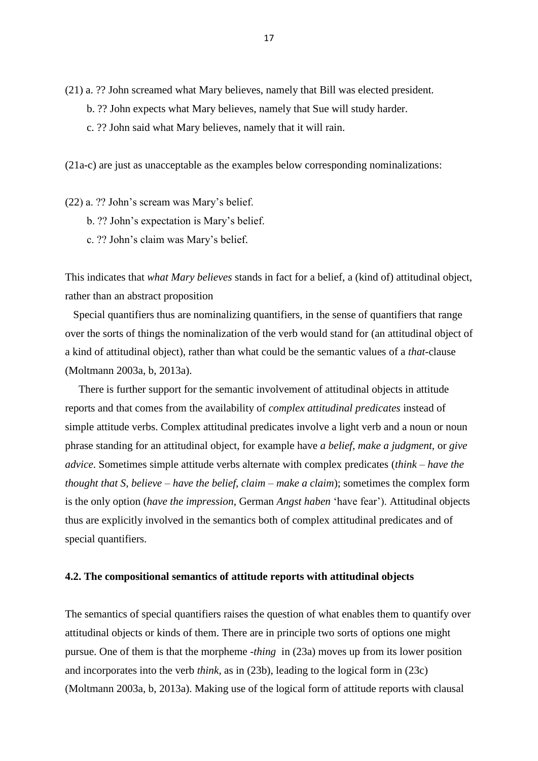(21) a. ?? John screamed what Mary believes, namely that Bill was elected president.

- b. ?? John expects what Mary believes, namely that Sue will study harder.
- c. ?? John said what Mary believes, namely that it will rain.

(21a-c) are just as unacceptable as the examples below corresponding nominalizations:

(22) a. ?? John's scream was Mary's belief.

- b. ?? John's expectation is Mary's belief.
- c. ?? John's claim was Mary's belief.

This indicates that *what Mary believes* stands in fact for a belief, a (kind of) attitudinal object, rather than an abstract proposition

 Special quantifiers thus are nominalizing quantifiers, in the sense of quantifiers that range over the sorts of things the nominalization of the verb would stand for (an attitudinal object of a kind of attitudinal object), rather than what could be the semantic values of a *that*-clause (Moltmann 2003a, b, 2013a).

 There is further support for the semantic involvement of attitudinal objects in attitude reports and that comes from the availability of *complex attitudinal predicates* instead of simple attitude verbs. Complex attitudinal predicates involve a light verb and a noun or noun phrase standing for an attitudinal object, for example have *a belief, make a judgment,* or *give advice*. Sometimes simple attitude verbs alternate with complex predicates (*think – have the thought that S, believe – have the belief, claim – make a claim*); sometimes the complex form is the only option (*have the impression*, German *Angst haben* 'have fear'). Attitudinal objects thus are explicitly involved in the semantics both of complex attitudinal predicates and of special quantifiers.

#### **4.2. The compositional semantics of attitude reports with attitudinal objects**

The semantics of special quantifiers raises the question of what enables them to quantify over attitudinal objects or kinds of them. There are in principle two sorts of options one might pursue. One of them is that the morpheme *-thing* in (23a) moves up from its lower position and incorporates into the verb *think*, as in (23b), leading to the logical form in (23c) (Moltmann 2003a, b, 2013a). Making use of the logical form of attitude reports with clausal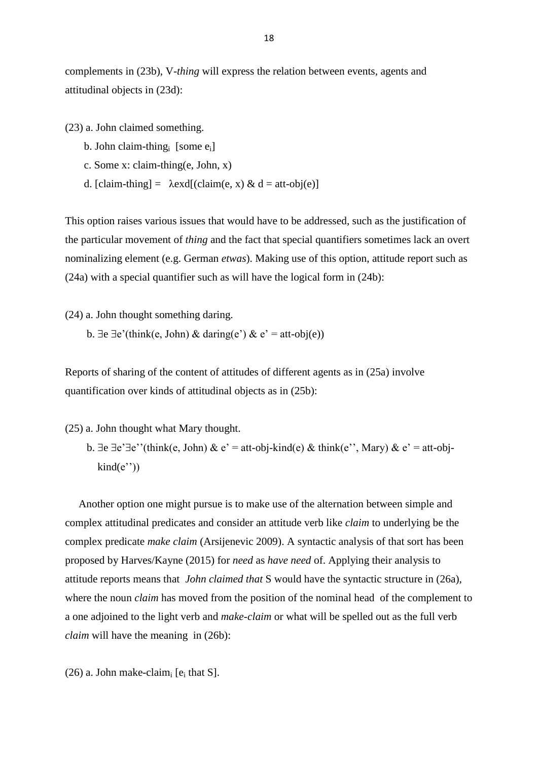complements in (23b), V-*thing* will express the relation between events, agents and attitudinal objects in (23d):

(23) a. John claimed something.

- b. John claim-thing<sub>i</sub> [some e<sub>i</sub>]
	- c. Some x: claim-thing(e, John, x)
	- d. [claim-thing] =  $\lambda$ exd[(claim(e, x) & d = att-obj(e)]

This option raises various issues that would have to be addressed, such as the justification of the particular movement of *thing* and the fact that special quantifiers sometimes lack an overt nominalizing element (e.g. German *etwas*). Making use of this option, attitude report such as (24a) with a special quantifier such as will have the logical form in (24b):

(24) a. John thought something daring.

b.  $\exists e \exists e'$ (think(e, John) & daring(e') & e' = att-obj(e))

Reports of sharing of the content of attitudes of different agents as in (25a) involve quantification over kinds of attitudinal objects as in (25b):

(25) a. John thought what Mary thought.

b.  $\exists e \exists e' \exists e''(\text{think}(e, \text{John}) \& e' = \text{att-obj-kind}(e) \& \text{think}(e'', \text{Mary}) \& e' = \text{att-obj$  $kind(e'')$ )

 Another option one might pursue is to make use of the alternation between simple and complex attitudinal predicates and consider an attitude verb like *claim* to underlying be the complex predicate *make claim* (Arsijenevic 2009). A syntactic analysis of that sort has been proposed by Harves/Kayne (2015) for *need* as *have need* of. Applying their analysis to attitude reports means that *John claimed that* S would have the syntactic structure in (26a), where the noun *claim* has moved from the position of the nominal head of the complement to a one adjoined to the light verb and *make-claim* or what will be spelled out as the full verb *claim* will have the meaning in (26b):

(26) a. John make-claim<sub>i</sub> [ $e_i$  that S].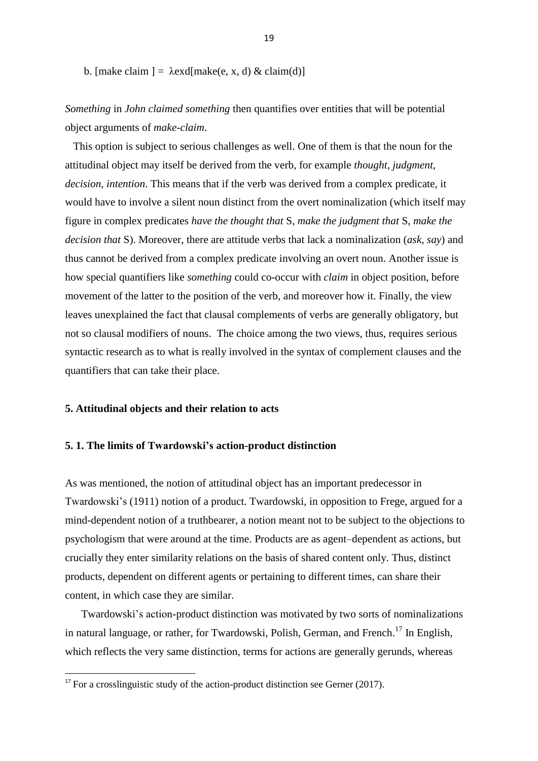b. [make claim ] =  $\lambda$ exd[make(e, x, d) & claim(d)]

*Something* in *John claimed something* then quantifies over entities that will be potential object arguments of *make-claim*.

 This option is subject to serious challenges as well. One of them is that the noun for the attitudinal object may itself be derived from the verb, for example *thought, judgment, decision, intention*. This means that if the verb was derived from a complex predicate, it would have to involve a silent noun distinct from the overt nominalization (which itself may figure in complex predicates *have the thought that* S, *make the judgment that* S, *make the decision that* S). Moreover, there are attitude verbs that lack a nominalization (*ask, say*) and thus cannot be derived from a complex predicate involving an overt noun. Another issue is how special quantifiers like *something* could co-occur with *claim* in object position, before movement of the latter to the position of the verb, and moreover how it. Finally, the view leaves unexplained the fact that clausal complements of verbs are generally obligatory, but not so clausal modifiers of nouns. The choice among the two views, thus, requires serious syntactic research as to what is really involved in the syntax of complement clauses and the quantifiers that can take their place.

#### **5. Attitudinal objects and their relation to acts**

**.** 

## **5. 1. The limits of Twardowski's action-product distinction**

As was mentioned, the notion of attitudinal object has an important predecessor in Twardowski's (1911) notion of a product. Twardowski, in opposition to Frege, argued for a mind-dependent notion of a truthbearer, a notion meant not to be subject to the objections to psychologism that were around at the time. Products are as agent–dependent as actions, but crucially they enter similarity relations on the basis of shared content only. Thus, distinct products, dependent on different agents or pertaining to different times, can share their content, in which case they are similar.

 Twardowski's action-product distinction was motivated by two sorts of nominalizations in natural language, or rather, for Twardowski, Polish, German, and French.<sup>17</sup> In English, which reflects the very same distinction, terms for actions are generally gerunds, whereas

 $17$  For a crosslinguistic study of the action-product distinction see Gerner (2017).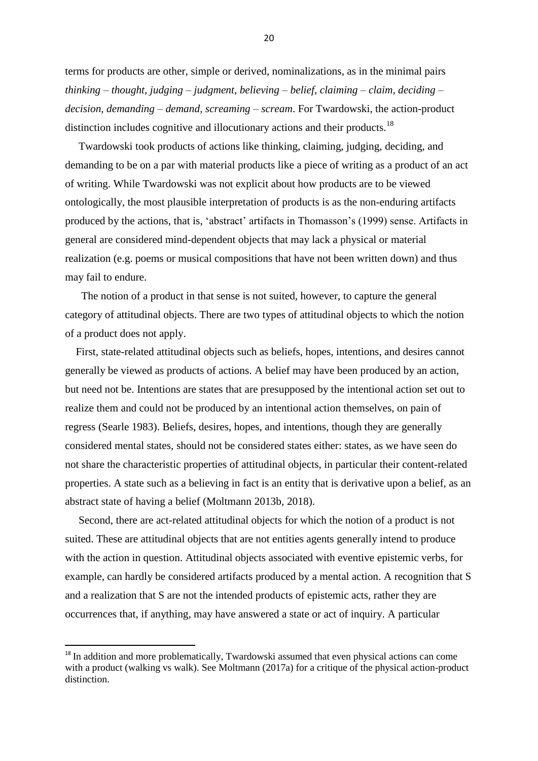terms for products are other, simple or derived, nominalizations, as in the minimal pairs *thinking – thought, judging – judgment, believing – belief, claiming – claim, deciding – decision, demanding – demand, screaming – scream*. For Twardowski, the action-product distinction includes cognitive and illocutionary actions and their products.<sup>18</sup>

 Twardowski took products of actions like thinking, claiming, judging, deciding, and demanding to be on a par with material products like a piece of writing as a product of an act of writing. While Twardowski was not explicit about how products are to be viewed ontologically, the most plausible interpretation of products is as the non-enduring artifacts produced by the actions, that is, 'abstract' artifacts in Thomasson's (1999) sense. Artifacts in general are considered mind-dependent objects that may lack a physical or material realization (e.g. poems or musical compositions that have not been written down) and thus may fail to endure.

 The notion of a product in that sense is not suited, however, to capture the general category of attitudinal objects. There are two types of attitudinal objects to which the notion of a product does not apply.

 First, state-related attitudinal objects such as beliefs, hopes, intentions, and desires cannot generally be viewed as products of actions. A belief may have been produced by an action, but need not be. Intentions are states that are presupposed by the intentional action set out to realize them and could not be produced by an intentional action themselves, on pain of regress (Searle 1983). Beliefs, desires, hopes, and intentions, though they are generally considered mental states, should not be considered states either: states, as we have seen do not share the characteristic properties of attitudinal objects, in particular their content-related properties. A state such as a believing in fact is an entity that is derivative upon a belief, as an abstract state of having a belief (Moltmann 2013b, 2018).

 Second, there are act-related attitudinal objects for which the notion of a product is not suited. These are attitudinal objects that are not entities agents generally intend to produce with the action in question. Attitudinal objects associated with eventive epistemic verbs, for example, can hardly be considered artifacts produced by a mental action. A recognition that S and a realization that S are not the intended products of epistemic acts, rather they are occurrences that, if anything, may have answered a state or act of inquiry. A particular

**.** 

<sup>&</sup>lt;sup>18</sup> In addition and more problematically, Twardowski assumed that even physical actions can come with a product (walking vs walk). See Moltmann (2017a) for a critique of the physical action-product distinction.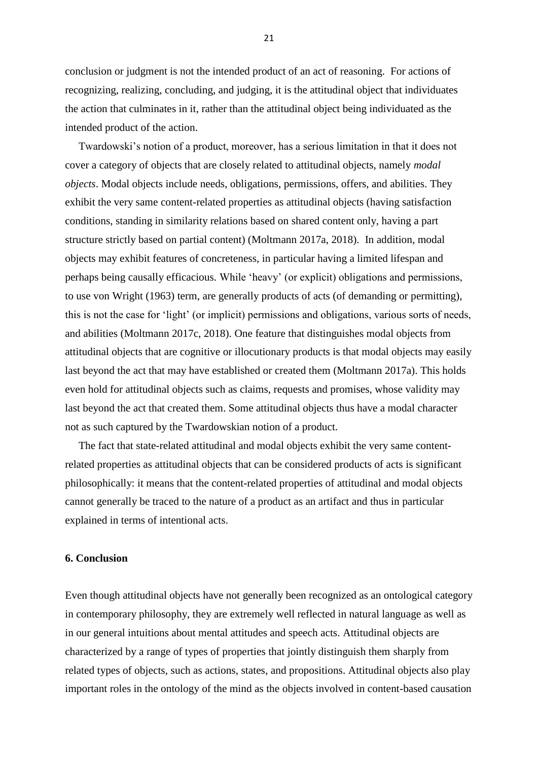conclusion or judgment is not the intended product of an act of reasoning. For actions of recognizing, realizing, concluding, and judging, it is the attitudinal object that individuates the action that culminates in it, rather than the attitudinal object being individuated as the intended product of the action.

 Twardowski's notion of a product, moreover, has a serious limitation in that it does not cover a category of objects that are closely related to attitudinal objects, namely *modal objects*. Modal objects include needs, obligations, permissions, offers, and abilities. They exhibit the very same content-related properties as attitudinal objects (having satisfaction conditions, standing in similarity relations based on shared content only, having a part structure strictly based on partial content) (Moltmann 2017a, 2018). In addition, modal objects may exhibit features of concreteness, in particular having a limited lifespan and perhaps being causally efficacious. While 'heavy' (or explicit) obligations and permissions, to use von Wright (1963) term, are generally products of acts (of demanding or permitting), this is not the case for 'light' (or implicit) permissions and obligations, various sorts of needs, and abilities (Moltmann 2017c, 2018). One feature that distinguishes modal objects from attitudinal objects that are cognitive or illocutionary products is that modal objects may easily last beyond the act that may have established or created them (Moltmann 2017a). This holds even hold for attitudinal objects such as claims, requests and promises, whose validity may last beyond the act that created them. Some attitudinal objects thus have a modal character not as such captured by the Twardowskian notion of a product.

 The fact that state-related attitudinal and modal objects exhibit the very same contentrelated properties as attitudinal objects that can be considered products of acts is significant philosophically: it means that the content-related properties of attitudinal and modal objects cannot generally be traced to the nature of a product as an artifact and thus in particular explained in terms of intentional acts.

#### **6. Conclusion**

Even though attitudinal objects have not generally been recognized as an ontological category in contemporary philosophy, they are extremely well reflected in natural language as well as in our general intuitions about mental attitudes and speech acts. Attitudinal objects are characterized by a range of types of properties that jointly distinguish them sharply from related types of objects, such as actions, states, and propositions. Attitudinal objects also play important roles in the ontology of the mind as the objects involved in content-based causation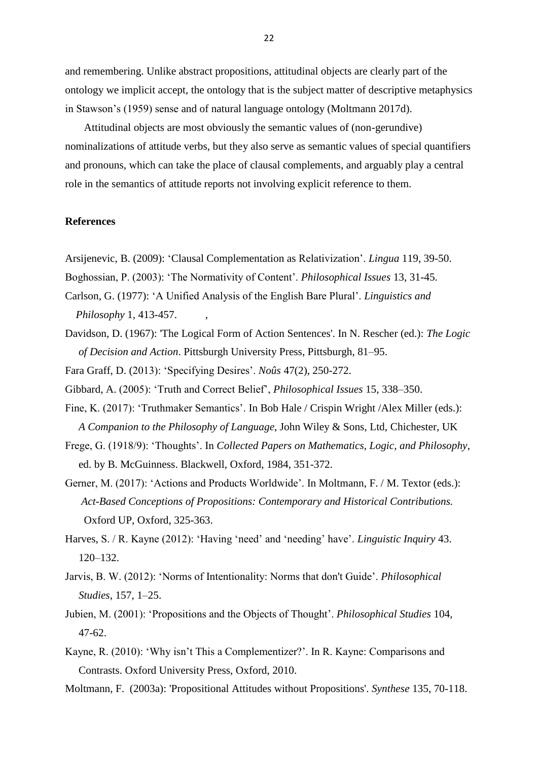and remembering. Unlike abstract propositions, attitudinal objects are clearly part of the ontology we implicit accept, the ontology that is the subject matter of descriptive metaphysics in Stawson's (1959) sense and of natural language ontology (Moltmann 2017d).

 Attitudinal objects are most obviously the semantic values of (non-gerundive) nominalizations of attitude verbs, but they also serve as semantic values of special quantifiers and pronouns, which can take the place of clausal complements, and arguably play a central role in the semantics of attitude reports not involving explicit reference to them.

# **References**

Arsijenevic, B. (2009): 'Clausal Complementation as Relativization'. *Lingua* 119, 39-50.

- Boghossian, P. (2003): 'The Normativity of Content'. *Philosophical Issues* 13, 31-45.
- Carlson, G. (1977): 'A Unified Analysis of the English Bare Plural'. *Linguistics and Philosophy* 1, 413-457. ,
- Davidson, D. (1967): 'The Logical Form of Action Sentences'. In N. Rescher (ed.): *The Logic of Decision and Action*. Pittsburgh University Press, Pittsburgh, 81–95.

Fara Graff, D. (2013): 'Specifying Desires'. *Noûs* 47(2), 250-272.

Gibbard, A. (2005): 'Truth and Correct Belief', *Philosophical Issues* 15, 338–350.

- Fine, K. (2017): 'Truthmaker Semantics'. In Bob Hale / Crispin Wright /Alex Miller (eds.): *A Companion to the Philosophy of Language*, John Wiley & Sons, Ltd, Chichester, UK
- Frege, G. (1918/9): 'Thoughts'. In *Collected Papers on Mathematics, Logic, and Philosophy*, ed. by B. McGuinness. Blackwell, Oxford, 1984, 351-372.
- Gerner, M. (2017): 'Actions and Products Worldwide'. In Moltmann, F. / M. Textor (eds.): *Act-Based Conceptions of Propositions: Contemporary and Historical Contributions.* Oxford UP, Oxford, 325-363.
- Harves, S. / R. Kayne (2012): 'Having 'need' and 'needing' have'. *Linguistic Inquiry* 43. 120–132.
- Jarvis, B. W. (2012): 'Norms of Intentionality: Norms that don't Guide'. *Philosophical Studies*, 157, 1–25.
- Jubien, M. (2001): 'Propositions and the Objects of Thought'. *Philosophical Studies* 104, 47-62.
- Kayne, R. (2010): 'Why isn't This a Complementizer?'. In R. Kayne: Comparisons and Contrasts. Oxford University Press, Oxford, 2010.
- Moltmann, F. (2003a): 'Propositional Attitudes without Propositions'. *Synthese* 135, 70-118.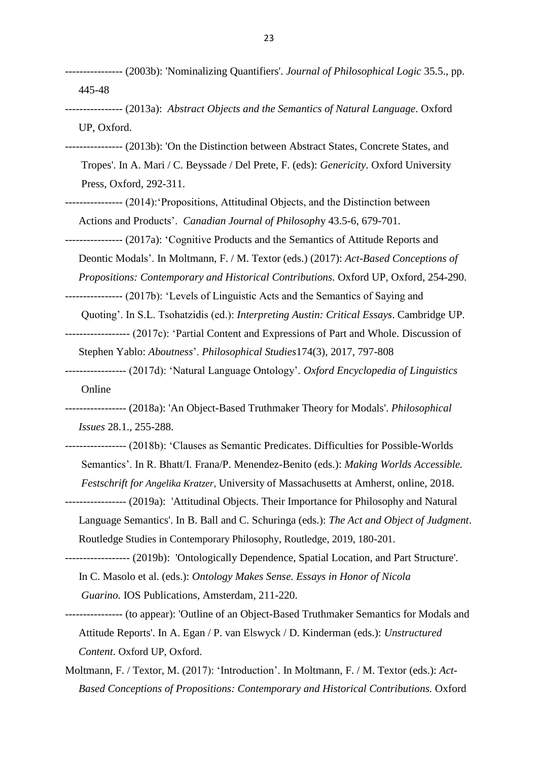- ---------------- (2003b): 'Nominalizing Quantifiers'. *Journal of Philosophical Logic* 35.5., pp. 445-48
- ---------------- (2013a): *Abstract Objects and the Semantics of Natural Language*. Oxford UP, Oxford.
- ---------------- (2013b): 'On the Distinction between Abstract States, Concrete States, and Tropes'. In A. Mari / C. Beyssade / Del Prete, F. (eds): *Genericity*. Oxford University Press, Oxford, 292-311.
- ---------------- (2014):'Propositions, Attitudinal Objects, and the Distinction between Actions and Products'. *Canadian Journal of Philosoph*y 43.5-6, 679-701.
- ---------------- (2017a): 'Cognitive Products and the Semantics of Attitude Reports and
	- Deontic Modals'. In Moltmann, F. / M. Textor (eds.) (2017): *Act-Based Conceptions of*
	- *Propositions: Contemporary and Historical Contributions.* Oxford UP, Oxford, 254-290.
- ---------------- (2017b): 'Levels of Linguistic Acts and the Semantics of Saying and
- Quoting'. In S.L. Tsohatzidis (ed.): *Interpreting Austin: Critical Essays*. Cambridge UP. ------------------ (2017c): 'Partial Content and Expressions of Part and Whole. Discussion of
	- Stephen Yablo: *Aboutness*'. *Philosophical Studies*174(3), 2017, 797-808
- ----------------- (2017d): 'Natural Language Ontology'. *Oxford Encyclopedia of Linguistics* Online
- ----------------- (2018a): ['An Object-Based Truthmaker Theory for Modals'](http://friederike-moltmann.com/uploads/phis_12124_Rev3_EV(1).pdf). *Philosophical Issues* 28.1., 255-288.
- ----------------- (2018b): 'Clauses as Semantic Predicates. Difficulties for Possible-Worlds Semantics'. In R. Bhatt/I. Frana/P. Menendez-Benito (eds.): *Making Worlds Accessible. Festschrift for Angelika Kratzer*, University of Massachusetts at Amherst, online, 2018.
- ----------------- (2019a): 'Attitudinal Objects. Their Importance for Philosophy and Natural Language Semantics'. In B. Ball and C. Schuringa (eds.): *The Act and Object of Judgment*. Routledge Studies in Contemporary Philosophy, Routledge, 2019, 180-201.
- ------------------ (2019b): 'Ontologically Dependence, Spatial Location, and Part Structure'. In C. Masolo et al. (eds.): *Ontology Makes Sense. Essays in Honor of Nicola Guarino.* IOS Publications, Amsterdam*,* 211-220.
- ---------------- (to appear): 'Outline of an Object-Based Truthmaker Semantics for Modals and Attitude Reports'. In A. Egan / P. van Elswyck / D. Kinderman (eds.): *Unstructured Content*. Oxford UP, Oxford.
- Moltmann, F. / Textor, M. (2017): 'Introduction'. In Moltmann, F. / M. Textor (eds.): *Act- Based Conceptions of Propositions: Contemporary and Historical Contributions.* Oxford